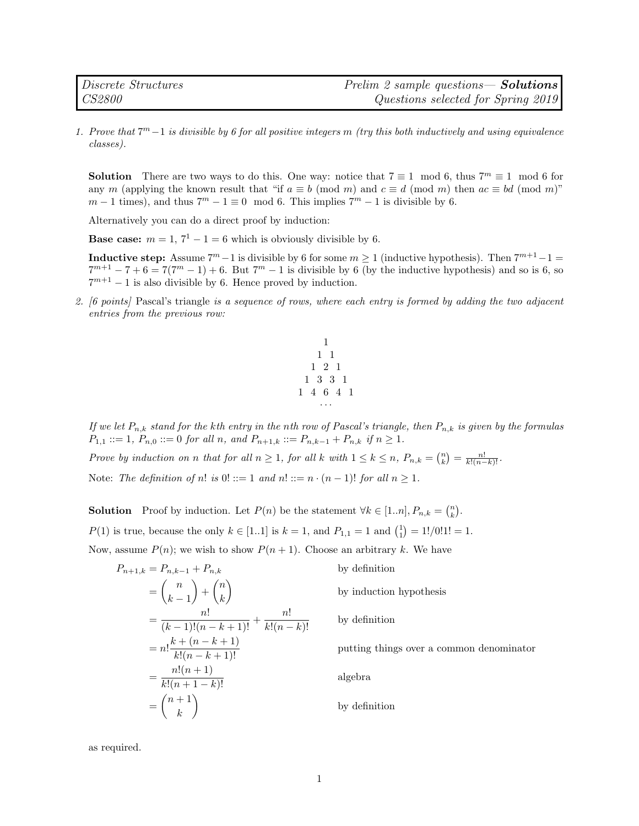1. Prove that  $7^m-1$  is divisible by 6 for all positive integers m (try this both inductively and using equivalence classes).

**Solution** There are two ways to do this. One way: notice that  $7 \equiv 1 \mod 6$ , thus  $7^m \equiv 1 \mod 6$  for any m (applying the known result that "if  $a \equiv b \pmod{m}$  and  $c \equiv d \pmod{m}$  then  $ac \equiv bd \pmod{m}$ "  $m-1$  times), and thus  $7^m-1\equiv 0\mod 6$ . This implies  $7^m-1$  is divisible by 6.

Alternatively you can do a direct proof by induction:

**Base case:**  $m = 1, 7^1 - 1 = 6$  which is obviously divisible by 6.

**Inductive step:** Assume  $7^m - 1$  is divisible by 6 for some  $m \ge 1$  (inductive hypothesis). Then  $7^{m+1}-1 =$  $7^{m+1} - 7 + 6 = 7(7^m - 1) + 6$ . But  $7^m - 1$  is divisible by 6 (by the inductive hypothesis) and so is 6, so  $7^{m+1} - 1$  is also divisible by 6. Hence proved by induction.

2. [6 points] Pascal's triangle is a sequence of rows, where each entry is formed by adding the two adjacent entries from the previous row:



If we let  $P_{n,k}$  stand for the kth entry in the nth row of Pascal's triangle, then  $P_{n,k}$  is given by the formulas  $P_{1,1} ::= 1, P_{n,0} ::= 0 \text{ for all } n, \text{ and } P_{n+1,k} ::= P_{n,k-1} + P_{n,k} \text{ if } n \geq 1.$ 

Prove by induction on n that for all  $n \geq 1$ , for all k with  $1 \leq k \leq n$ ,  $P_{n,k} = \binom{n}{k} = \frac{n!}{k!(n-k)!}$ .

Note: The definition of n! is  $0! ::= 1$  and  $n! ::= n \cdot (n-1)!$  for all  $n \ge 1$ .

**Solution** Proof by induction. Let  $P(n)$  be the statement  $\forall k \in [1..n], P_{n,k} = \binom{n}{k}$ .  $P(1)$  is true, because the only  $k \in [1..1]$  is  $k = 1$ , and  $P_{1,1} = 1$  and  $\binom{1}{1} = 1!/0!1! = 1$ . Now, assume  $P(n)$ ; we wish to show  $P(n + 1)$ . Choose an arbitrary k. We have

$$
P_{n+1,k} = P_{n,k-1} + P_{n,k}
$$
 by definition  
\n
$$
= {n \choose k-1} + {n \choose k}
$$
 by induction  
\n
$$
= \frac{n!}{(k-1)!(n-k+1)!} + \frac{n!}{k!(n-k)!}
$$
 by definition  
\n
$$
= n! \frac{k+(n-k+1)}{k!(n-k+1)!}
$$
 putting thing  
\n
$$
= \frac{n!(n+1)}{k!(n+1-k)!}
$$
 algebra  
\n
$$
= {n+1 \choose k}
$$
 by definition

by induction hypothesis

by definition

putting things over a common denominator

by definition

as required.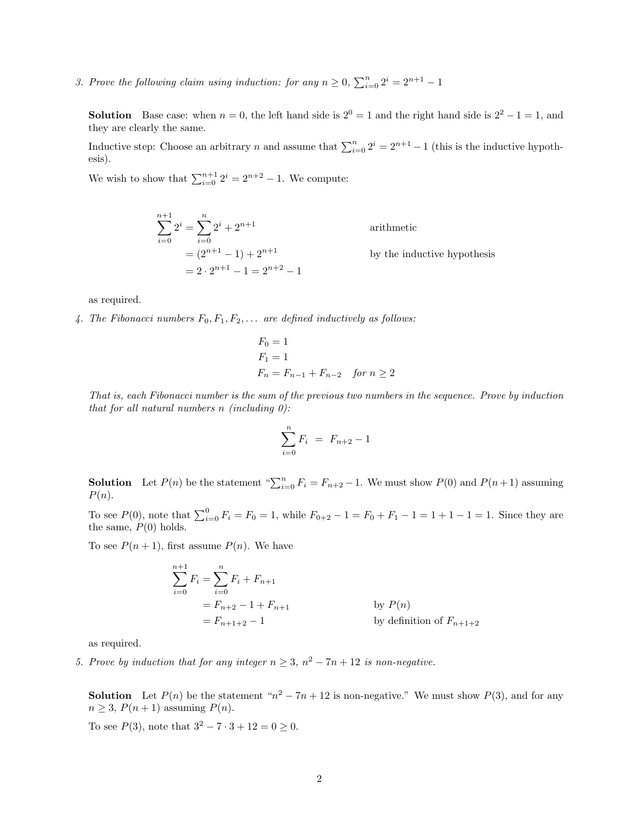3. Prove the following claim using induction: for any  $n \geq 0$ ,  $\sum_{i=0}^{n} 2^{i} = 2^{n+1} - 1$ 

**Solution** Base case: when  $n = 0$ , the left hand side is  $2^0 = 1$  and the right hand side is  $2^2 - 1 = 1$ , and they are clearly the same.

Inductive step: Choose an arbitrary n and assume that  $\sum_{i=0}^{n} 2^{i} = 2^{n+1} - 1$  (this is the inductive hypothesis).

We wish to show that  $\sum_{i=0}^{n+1} 2^i = 2^{n+2} - 1$ . We compute:

$$
\sum_{i=0}^{n+1} 2^{i} = \sum_{i=0}^{n} 2^{i} + 2^{n+1}
$$
 arithmetic  
=  $(2^{n+1} - 1) + 2^{n+1}$  by the inductive hypothesis  
=  $2 \cdot 2^{n+1} - 1 = 2^{n+2} - 1$ 

as required.

4. The Fibonacci numbers  $F_0, F_1, F_2, \ldots$  are defined inductively as follows:

$$
F_0 = 1
$$
  
\n
$$
F_1 = 1
$$
  
\n
$$
F_n = F_{n-1} + F_{n-2} \quad \text{for } n \ge 2
$$

That is, each Fibonacci number is the sum of the previous two numbers in the sequence. Prove by induction that for all natural numbers  $n$  (including  $0$ ):

$$
\sum_{i=0}^{n} F_i = F_{n+2} - 1
$$

**Solution** Let  $P(n)$  be the statement " $\sum_{i=0}^{n} F_i = F_{n+2} - 1$ . We must show  $P(0)$  and  $P(n+1)$  assuming  $P(n).$ 

To see  $P(0)$ , note that  $\sum_{i=0}^{0} F_i = F_0 = 1$ , while  $F_{0+2} - 1 = F_0 + F_1 - 1 = 1 + 1 - 1 = 1$ . Since they are the same,  $P(0)$  holds.

To see  $P(n + 1)$ , first assume  $P(n)$ . We have

$$
\sum_{i=0}^{n+1} F_i = \sum_{i=0}^{n} F_i + F_{n+1}
$$
  
=  $F_{n+2} - 1 + F_{n+1}$  by  $P(n)$   
=  $F_{n+1+2} - 1$  by definition of  $F_{n+1+2}$ 

as required.

5. Prove by induction that for any integer  $n \geq 3$ ,  $n^2 - 7n + 12$  is non-negative.

**Solution** Let  $P(n)$  be the statement " $n^2 - 7n + 12$  is non-negative." We must show  $P(3)$ , and for any  $n \geq 3$ ,  $P(n+1)$  assuming  $P(n)$ .

To see  $P(3)$ , note that  $3^2 - 7 \cdot 3 + 12 = 0 \ge 0$ .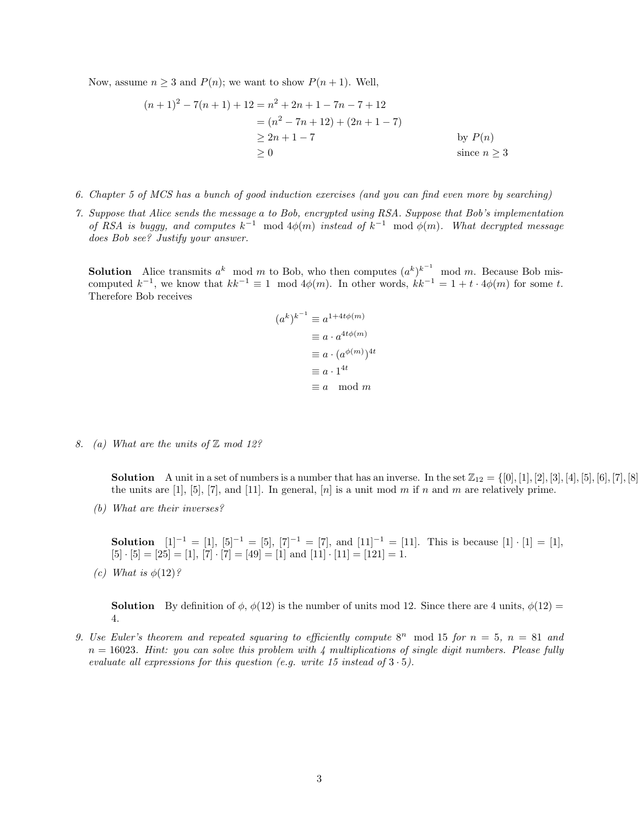Now, assume  $n \geq 3$  and  $P(n)$ ; we want to show  $P(n + 1)$ . Well,

$$
(n+1)^2 - 7(n+1) + 12 = n^2 + 2n + 1 - 7n - 7 + 12
$$
  
=  $(n^2 - 7n + 12) + (2n + 1 - 7)$   
 $\ge 2n + 1 - 7$  by  $P(n)$   
 $\ge 0$  since  $n \ge 3$ 

- 6. Chapter 5 of MCS has a bunch of good induction exercises (and you can find even more by searching)
- 7. Suppose that Alice sends the message a to Bob, encrypted using RSA. Suppose that Bob's implementation of RSA is buggy, and computes  $k^{-1}$  mod  $4\phi(m)$  instead of  $k^{-1}$  mod  $\phi(m)$ . What decrypted message does Bob see? Justify your answer.

**Solution** Alice transmits  $a^k \mod m$  to Bob, who then computes  $(a^k)^{k-1} \mod m$ . Because Bob miscomputed  $k^{-1}$ , we know that  $kk^{-1} \equiv 1 \mod 4\phi(m)$ . In other words,  $kk^{-1} = 1 + t \cdot 4\phi(m)$  for some t. Therefore Bob receives

$$
(a^k)^{k^{-1}} \equiv a^{1+4t\phi(m)}
$$
  
\n
$$
\equiv a \cdot a^{4t\phi(m)}
$$
  
\n
$$
\equiv a \cdot (a^{\phi(m)})^{4t}
$$
  
\n
$$
\equiv a \cdot 1^{4t}
$$
  
\n
$$
\equiv a \mod m
$$

8. (a) What are the units of  $\mathbb Z$  mod 12?

**Solution** A unit in a set of numbers is a number that has an inverse. In the set  $\mathbb{Z}_{12} = \{ [0], [1], [2], [3], [4], [5], [6], [7], [8] \}$ the units are  $[1]$ ,  $[5]$ ,  $[7]$ , and  $[11]$ . In general,  $[n]$  is a unit mod m if n and m are relatively prime.

(b) What are their inverses?

**Solution**  $[1]^{-1} = [1], [5]^{-1} = [5], [7]^{-1} = [7],$  and  $[11]^{-1} = [11].$  This is because  $[1] \cdot [1] = [1],$  $[5] \cdot [5] = [25] = [1], [7] \cdot [7] = [49] = [1]$  and  $[11] \cdot [11] = [121] = 1.$ 

(c) What is  $\phi(12)$ ?

**Solution** By definition of  $\phi$ ,  $\phi(12)$  is the number of units mod 12. Since there are 4 units,  $\phi(12)$  = 4.

9. Use Euler's theorem and repeated squaring to efficiently compute  $8^n$  mod 15 for  $n = 5$ ,  $n = 81$  and  $n = 16023$ . Hint: you can solve this problem with 4 multiplications of single digit numbers. Please fully evaluate all expressions for this question (e.g. write 15 instead of  $3 \cdot 5$ ).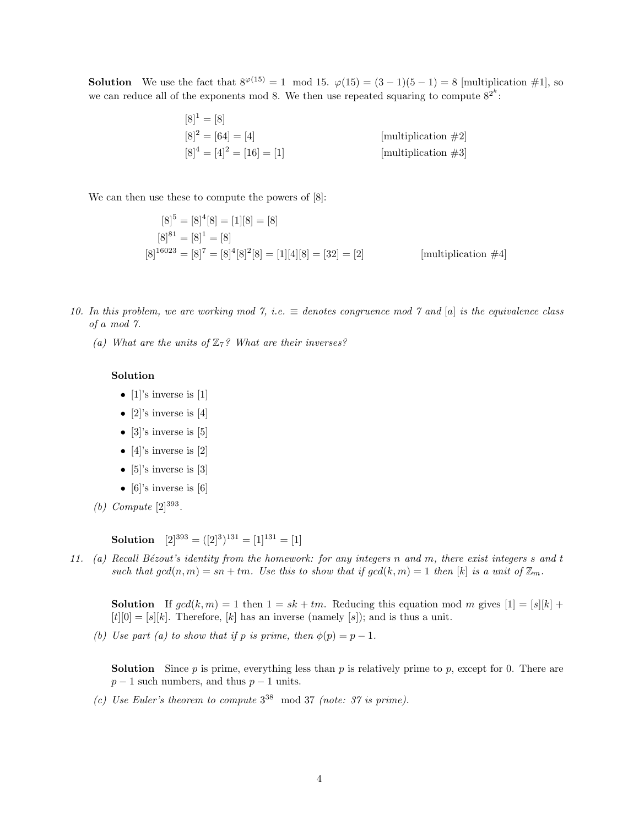**Solution** We use the fact that  $8^{\varphi(15)} = 1 \mod 15$ .  $\varphi(15) = (3-1)(5-1) = 8$  [multiplication #1], so we can reduce all of the exponents mod 8. We then use repeated squaring to compute  $8^{2^k}$ :

$$
[8]^1 = [8]
$$
  
\n $[8]^2 = [64] = [4]$   
\n $[8]^4 = [4]^2 = [16] = [1]$   
\n $[3]^4 = [4]^2 = [16] = [1]$   
\n $[3]^4 = [4]^2 = [16]$   
\n $[4]^2 = [16] = [1]$ 

We can then use these to compute the powers of [8]:

$$
[8]^5 = [8]^4[8] = [1][8] = [8]
$$
  
\n
$$
[8]^{81} = [8]^1 = [8]
$$
  
\n
$$
[8]^{16023} = [8]^7 = [8]^4[8]^2[8] = [1][4][8] = [32] = [2]
$$
  
\n
$$
[multiplication #4]
$$

- 10. In this problem, we are working mod 7, i.e.  $\equiv$  denotes congruence mod 7 and [a] is the equivalence class of a mod 7.
	- (a) What are the units of  $\mathbb{Z}_7$ ? What are their inverses?

## Solution

- [1]'s inverse is [1]
- [2]'s inverse is [4]
- [3]'s inverse is [5]
- [4]'s inverse is  $[2]$
- $[5]$ 's inverse is  $[3]$
- [6]'s inverse is [6]
- (*b*) Compute  $[2]^{393}$ .

**Solution**  $[2]^{393} = ([2]^{3})^{131} = [1]^{131} = [1]$ 

11. (a) Recall Bézout's identity from the homework: for any integers n and m, there exist integers s and t such that  $gcd(n, m) = sn + tm$ . Use this to show that if  $gcd(k, m) = 1$  then  $[k]$  is a unit of  $\mathbb{Z}_m$ .

**Solution** If  $gcd(k, m) = 1$  then  $1 = sk + tm$ . Reducing this equation mod m gives  $[1] = [s][k] +$  $[t][0] = [s][k]$ . Therefore,  $[k]$  has an inverse (namely  $[s]$ ); and is thus a unit.

(b) Use part (a) to show that if p is prime, then  $\phi(p) = p - 1$ .

**Solution** Since p is prime, everything less than p is relatively prime to p, except for 0. There are  $p-1$  such numbers, and thus  $p-1$  units.

(c) Use Euler's theorem to compute  $3^{38}$  mod 37 (note: 37 is prime).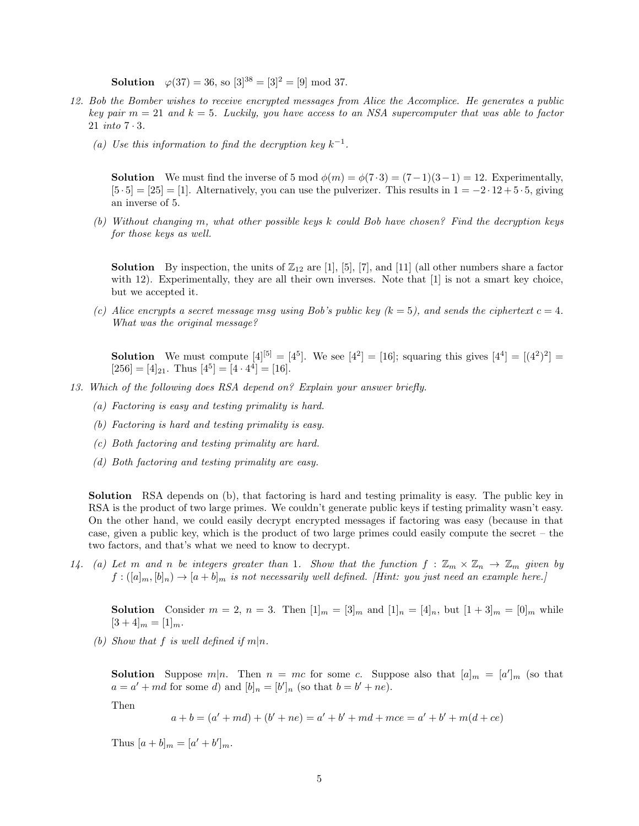**Solution**  $\varphi(37) = 36$ , so  $[3]^{38} = [3]^2 = [9] \text{ mod } 37$ .

- 12. Bob the Bomber wishes to receive encrypted messages from Alice the Accomplice. He generates a public key pair  $m = 21$  and  $k = 5$ . Luckily, you have access to an NSA supercomputer that was able to factor 21 into 7 · 3.
	- (a) Use this information to find the decryption key  $k^{-1}$ .

**Solution** We must find the inverse of 5 mod  $\phi(m) = \phi(7 \cdot 3) = (7-1)(3-1) = 12$ . Experimentally,  $[5 \cdot 5] = [25] = [1]$ . Alternatively, you can use the pulverizer. This results in  $1 = -2 \cdot 12 + 5 \cdot 5$ , giving an inverse of 5.

(b) Without changing m, what other possible keys k could Bob have chosen? Find the decryption keys for those keys as well.

**Solution** By inspection, the units of  $\mathbb{Z}_{12}$  are [1], [5], [7], and [11] (all other numbers share a factor with 12). Experimentally, they are all their own inverses. Note that [1] is not a smart key choice, but we accepted it.

(c) Alice encrypts a secret message msg using Bob's public key  $(k = 5)$ , and sends the ciphertext  $c = 4$ . What was the original message?

**Solution** We must compute  $[4]^{[5]} = [4^5]$ . We see  $[4^2] = [16]$ ; squaring this gives  $[4^4] = [(4^2)^2] =$  $[256] = [4]_{21}$ . Thus  $[4^5] = [4 \cdot 4^4] = [16]$ .

- 13. Which of the following does RSA depend on? Explain your answer briefly.
	- (a) Factoring is easy and testing primality is hard.
	- (b) Factoring is hard and testing primality is easy.
	- (c) Both factoring and testing primality are hard.
	- (d) Both factoring and testing primality are easy.

Solution RSA depends on (b), that factoring is hard and testing primality is easy. The public key in RSA is the product of two large primes. We couldn't generate public keys if testing primality wasn't easy. On the other hand, we could easily decrypt encrypted messages if factoring was easy (because in that case, given a public key, which is the product of two large primes could easily compute the secret – the two factors, and that's what we need to know to decrypt.

14. (a) Let m and n be integers greater than 1. Show that the function  $f : \mathbb{Z}_m \times \mathbb{Z}_n \to \mathbb{Z}_m$  given by  $f: ([a]_m, [b]_n) \to [a+b]_m$  is not necessarily well defined. [Hint: you just need an example here.]

**Solution** Consider  $m = 2$ ,  $n = 3$ . Then  $[1]_m = [3]_m$  and  $[1]_n = [4]_n$ , but  $[1 + 3]_m = [0]_m$  while  $[3+4]_m = [1]_m.$ 

(b) Show that f is well defined if  $m|n$ .

**Solution** Suppose  $m|n$ . Then  $n = mc$  for some c. Suppose also that  $[a]_m = [a']_m$  (so that  $a = a' + md$  for some d) and  $[b]_n = [b']_n$  (so that  $b = b' + ne$ ).

Then

 $a + b = (a' + md) + (b' + ne) = a' + b' + md + mce = a' + b' + m(d + ce)$ 

Thus  $[a + b]_m = [a' + b']_m$ .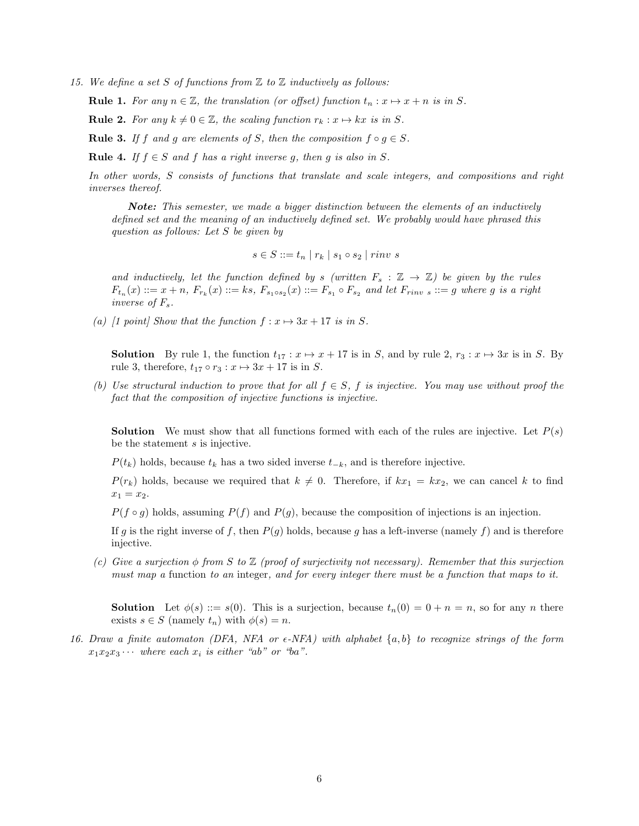15. We define a set S of functions from  $\mathbb Z$  to  $\mathbb Z$  inductively as follows:

**Rule 1.** For any  $n \in \mathbb{Z}$ , the translation (or offset) function  $t_n : x \mapsto x + n$  is in S.

**Rule 2.** For any  $k \neq 0 \in \mathbb{Z}$ , the scaling function  $r_k : x \mapsto kx$  is in S.

**Rule 3.** If f and g are elements of S, then the composition  $f \circ g \in S$ .

**Rule 4.** If  $f \in S$  and f has a right inverse q, then q is also in S.

In other words, S consists of functions that translate and scale integers, and compositions and right inverses thereof.

Note: This semester, we made a bigger distinction between the elements of an inductively defined set and the meaning of an inductively defined set. We probably would have phrased this question as follows: Let S be given by

$$
s \in S ::= t_n \mid r_k \mid s_1 \circ s_2 \mid rinv \ s
$$

and inductively, let the function defined by s (written  $F_s : \mathbb{Z} \to \mathbb{Z}$ ) be given by the rules  $F_{t_n}(x) ::= x + n, F_{r_k}(x) ::= ks, F_{s_1 \circ s_2}(x) ::= F_{s_1} \circ F_{s_2}$  and let  $F_{rinv s} ::= g$  where g is a right inverse of  $F_s$ .

(a) [1 point] Show that the function  $f: x \mapsto 3x + 17$  is in S.

**Solution** By rule 1, the function  $t_{17}$  :  $x \mapsto x + 17$  is in S, and by rule 2,  $r_3$  :  $x \mapsto 3x$  is in S. By rule 3, therefore,  $t_{17} \circ r_3 : x \mapsto 3x + 17$  is in S.

(b) Use structural induction to prove that for all  $f \in S$ , f is injective. You may use without proof the fact that the composition of injective functions is injective.

**Solution** We must show that all functions formed with each of the rules are injective. Let  $P(s)$ be the statement s is injective.

 $P(t_k)$  holds, because  $t_k$  has a two sided inverse  $t_{-k}$ , and is therefore injective.

 $P(r_k)$  holds, because we required that  $k \neq 0$ . Therefore, if  $kx_1 = kx_2$ , we can cancel k to find  $x_1 = x_2.$ 

 $P(f \circ g)$  holds, assuming  $P(f)$  and  $P(g)$ , because the composition of injections is an injection.

If g is the right inverse of f, then  $P(g)$  holds, because g has a left-inverse (namely f) and is therefore injective.

(c) Give a surjection  $\phi$  from S to  $\mathbb Z$  (proof of surjectivity not necessary). Remember that this surjection must map a function to an integer, and for every integer there must be a function that maps to it.

**Solution** Let  $\phi(s) ::= s(0)$ . This is a surjection, because  $t_n(0) = 0 + n = n$ , so for any n there exists  $s \in S$  (namely  $t_n$ ) with  $\phi(s) = n$ .

16. Draw a finite automaton (DFA, NFA or  $\epsilon$ -NFA) with alphabet  $\{a, b\}$  to recognize strings of the form  $x_1x_2x_3\cdots$  where each  $x_i$  is either "ab" or "ba".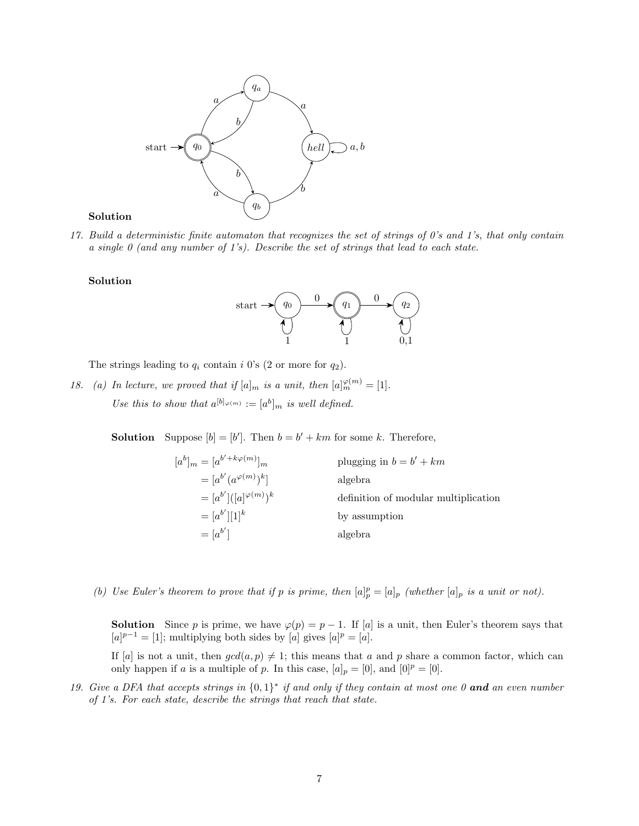

## Solution

17. Build a deterministic finite automaton that recognizes the set of strings of 0's and 1's, that only contain a single  $\theta$  (and any number of 1's). Describe the set of strings that lead to each state.

## Solution



The strings leading to  $q_i$  contain i 0's (2 or more for  $q_2$ ).

18. (a) In lecture, we proved that if  $[a]_m$  is a unit, then  $[a]_m^{\varphi(m)} = [1]$ . Use this to show that  $a^{[b]_{\varphi(m)}} := [a^b]_m$  is well defined.

**Solution** Suppose  $[b] = [b']$ . Then  $b = b' + km$  for some k. Therefore,

| $[a^{b}]_{m} = [a^{b'+k\varphi(m)}]_{m}$ | plugging in $b = b' + km$            |
|------------------------------------------|--------------------------------------|
| $= [a^{b'} (a^{\varphi(m)})^k]$          | algebra                              |
| $=[a^{b'}]([a]^{\varphi(m)})^k$          | definition of modular multiplication |
| $=[a^{b'}][1]^{k}$                       | by assumption                        |
| $=[a^{b'}]$                              | algebra                              |

(b) Use Euler's theorem to prove that if p is prime, then  $[a]_p^p = [a]_p$  (whether  $[a]_p$  is a unit or not).

**Solution** Since p is prime, we have  $\varphi(p) = p - 1$ . If [a] is a unit, then Euler's theorem says that  $[a]^{p-1} = [1]$ ; multiplying both sides by  $[a]$  gives  $[a]^p = [a]$ .

If [a] is not a unit, then  $gcd(a, p) \neq 1$ ; this means that a and p share a common factor, which can only happen if a is a multiple of p. In this case,  $[a]_p = [0]$ , and  $[0]^p = [0]$ .

19. Give a DFA that accepts strings in  $\{0,1\}^*$  if and only if they contain at most one 0 and an even number of 1's. For each state, describe the strings that reach that state.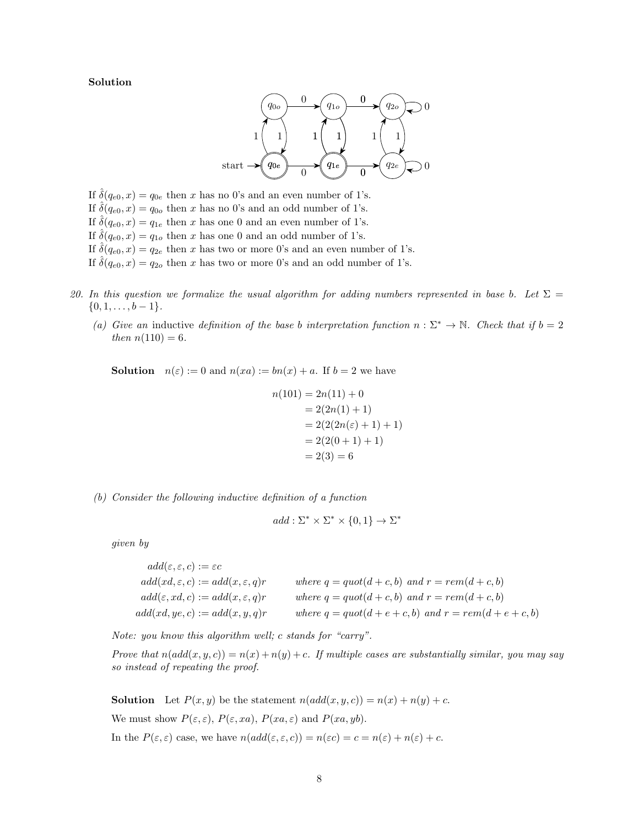Solution



If  $\hat{\delta}(q_{e0}, x) = q_{0e}$  then x has no 0's and an even number of 1's. If  $\hat{\delta}(q_{e0}, x) = q_{0o}$  then x has no 0's and an odd number of 1's. If  $\hat{\delta}(q_{e0}, x) = q_{1e}$  then x has one 0 and an even number of 1's. If  $\delta(q_{e0}, x) = q_{1o}$  then x has one 0 and an odd number of 1's. If  $\hat{\delta}(q_{e0}, x) = q_{2e}$  then x has two or more 0's and an even number of 1's. If  $\delta(q_{e0}, x) = q_{2o}$  then x has two or more 0's and an odd number of 1's.

- 20. In this question we formalize the usual algorithm for adding numbers represented in base b. Let  $\Sigma =$  $\{0, 1, \ldots, b-1\}.$ 
	- (a) Give an inductive definition of the base b interpretation function  $n : \Sigma^* \to \mathbb{N}$ . Check that if  $b = 2$ then  $n(110) = 6$ .

**Solution**  $n(\varepsilon) := 0$  and  $n(xa) := bn(x) + a$ . If  $b = 2$  we have

$$
n(101) = 2n(11) + 0
$$
  
= 2(2n(1) + 1)  
= 2(2(2n(\varepsilon) + 1) + 1)  
= 2(2(0 + 1) + 1)  
= 2(3) = 6

(b) Consider the following inductive definition of a function

$$
add: \Sigma^* \times \Sigma^* \times \{0, 1\} \to \Sigma^*
$$

given by

 $add(\varepsilon, \varepsilon, c) := \varepsilon c$  $add(xd, \varepsilon, c) := add(x, \varepsilon, q)r$  where  $q = quot(d + c, b)$  and  $r = rem(d + c, b)$  $add(\varepsilon, xd, c) := add(x, \varepsilon, q)r$  where  $q = quot(d+c, b)$  and  $r = rem(d+c, b)$  $add(xd, ye, c) := add(x, y, q)r$  where  $q = quot(d+e+c, b)$  and  $r = rem(d+e+c, b)$ 

Note: you know this algorithm well; c stands for "carry".

Prove that  $n(\text{add}(x, y, c)) = n(x) + n(y) + c$ . If multiple cases are substantially similar, you may say so instead of repeating the proof.

**Solution** Let  $P(x, y)$  be the statement  $n(\text{add}(x, y, c)) = n(x) + n(y) + c$ . We must show  $P(\varepsilon, \varepsilon)$ ,  $P(\varepsilon, xa)$ ,  $P(xa, \varepsilon)$  and  $P(xa, yb)$ . In the  $P(\varepsilon, \varepsilon)$  case, we have  $n(\text{add}(\varepsilon, \varepsilon, c)) = n(\varepsilon c) = c = n(\varepsilon) + n(\varepsilon) + c$ .